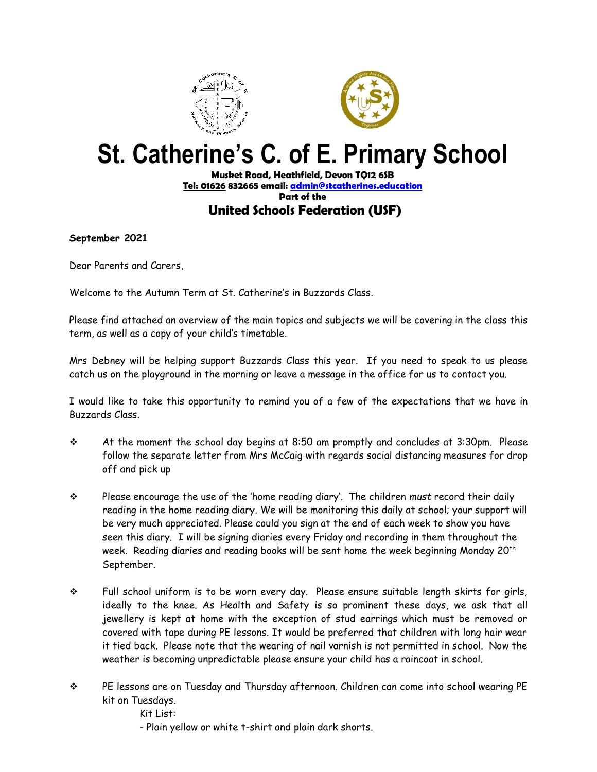



## **St. Catherine's C. of E. Primary School**

## **Musket Road, Heathfield, Devon TQ12 6SB [Tel: 01626](tel:01626) 832665 email[: admin@stcatherines.education](mailto:admin@stcatherines.education) Part of the United Schools Federation (USF)**

**September 2021**

Dear Parents and Carers,

Welcome to the Autumn Term at St. Catherine's in Buzzards Class.

Please find attached an overview of the main topics and subjects we will be covering in the class this term, as well as a copy of your child's timetable.

Mrs Debney will be helping support Buzzards Class this year. If you need to speak to us please catch us on the playground in the morning or leave a message in the office for us to contact you.

I would like to take this opportunity to remind you of a few of the expectations that we have in Buzzards Class.

- ❖ At the moment the school day begins at 8:50 am promptly and concludes at 3:30pm. Please follow the separate letter from Mrs McCaig with regards social distancing measures for drop off and pick up
- ❖ Please encourage the use of the 'home reading diary'. The children *must* record their daily reading in the home reading diary. We will be monitoring this daily at school; your support will be very much appreciated. Please could you sign at the end of each week to show you have seen this diary. I will be signing diaries every Friday and recording in them throughout the week. Reading diaries and reading books will be sent home the week beginning Monday 20<sup>th</sup> September.
- ❖ Full school uniform is to be worn every day. Please ensure suitable length skirts for girls, ideally to the knee. As Health and Safety is so prominent these days, we ask that all jewellery is kept at home with the exception of stud earrings which must be removed or covered with tape during PE lessons. It would be preferred that children with long hair wear it tied back. Please note that the wearing of nail varnish is not permitted in school. Now the weather is becoming unpredictable please ensure your child has a raincoat in school.
- ❖ PE lessons are on Tuesday and Thursday afternoon. Children can come into school wearing PE kit on Tuesdays.
	- Kit List:
	- Plain yellow or white t-shirt and plain dark shorts.